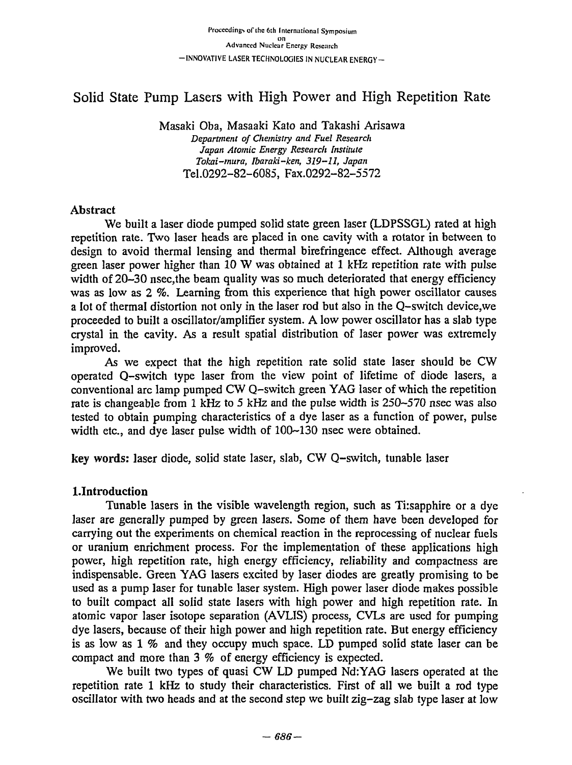## Solid State Pump Lasers with High Power and High Repetition Rate So1id State Pump Lasers with High Power and High Repetition Rate

Masaki Oba, Masaaki Kato and Takashi Arisawa Masaki Oba, Masaaki Kato and Takashi Arisawa Department of Chemistry and Fuel Research Japan Atomic Energy Research Institute *Tokai-mura, Ibaraki-ken, 319-11, Japan*  Tokai-mura, Ibarakiken, 319-11, Japan Tel.0292-82-6085, Fax.0292-82-5572 Tel.0292-82-6085, Fax.0292-82-5572

#### Abstract Abstract

We built a laser diode pumped solid state green laser (LDPSSGL) rated at high repetition rate. Two laser heads are placed in one cavity with a rotator in between to design to avoid thermal lensing and thermal birefringence effect. Although average design to avoid thermal lensing and thermal birefringence effect. AIthough average green laser power higher than 10 W was obtained at 1 kHz repetition rate with pulse green laser power higher than 10 W was obtained at 1 kHz repetition rate with pulse width of 20-30 nsec, the beam quality was so much deteriorated that energy efficiency was as low as 2 %. Learning from this experience that high power oscillator causes a lot of thermal distortion not only in the laser rod but also in the Q-switch device,we a lot of thermaI distortion not only in the laser rod but also in the Q-switch device, we proceeded to built a oscillator/amplifier system. A low power oscillator has a slab type proceeded to buiIt a osciIlator/amp1ifier system. A low power oscillator has a slab type crystal in the cavity. As a result spatial distribution of laser power was extremely crystal in the cavity. As a result spatial distribution of laser power was extremely improved. improved.

As we expect that the high repetition rate solid state laser should be CW As we expect that the high repetition rate solid state laser should be CW operated Q-switch type laser from the view point of lifetime of diode lasers, a conventional arc lamp pumped CW Q-switch green YAG laser of which the repetition conventional arc lamp pumped CW Q-switch green YAG laser of which the repetition rate is changeable from 1 kHz to 5 kHz and the pulse width is 250–570 nsec was also tested to obtain pumping characteristics of a dye laser as a function of power, pulse tested to obtain pumping characteristics of a dye laser as a function of power, pulse width etc., and dye laser pulse width of  $100-130$  nsec were obtained.

key words: laser diode, solid state laser, slab, CW Q-switch, tunable laser key words: laser diode, solid state laser, slab, CW Q-switch, tunable laser

### l.Introduction l.Introduction

Tunable lasers in the visible wavelength region, such as Tirsapphire or a dye TUnable lasers in the visible wavelength region, such as Ti:sapphire or a dye laser are generally pumped by green lasers. Some of them have been developed for laser are generally pumped by green lasers. Some of them have been developed for carrying out the experiments on chemical reaction in the reprocessing of nuclear fuels carrying out the experiments on chemical reaction in the reprocessing of nuclear fuels or uranium enrichment process. For the implementation of these applications high or uranium enrichment process. For the implementation of these applications high power, high repetition rate, high energy efficiency, reliability and compactness are indispensable. Green YAG lasers excited by laser diodes are greatly promising to be indispensable. Green YAG lasers excited by laser diodes are greatly promising to be used as a pump laser for tunable laser system. High power laser diode makes possible used as a pump laser for tunable laser system. High power laser diode makes possible to built compact all solid state lasers with high power and high repetition rate. In atomic vapor laser isotope separation (AVLIS) process, CVLs are used for pumping dye lasers, because of their high power and high repetition rate. But energy efficiency dye lasers, because of their high power and high repetition rate. But energy efficiency is as low as  $1\%$  and they occupy much space. LD pumped solid state laser can be compact and more than  $3 \%$  of energy efficiency is expected.

We built two types of quasi CW LD pumped Nd:YAG lasers operated at the We buiIt two types of quasi CW LD pumped Nd:YAG Iasers operated at the repetition rate 1 kHz to study their characteristics. First of all we built a rod type repetition rate 1 kHz to study their characteristics. First of a11 we built a rod type oscillator with two heads and at the second step we built zig-zag slab type laser at low oscillator with two heads and at the second step wc built zig-zag slab type laser at low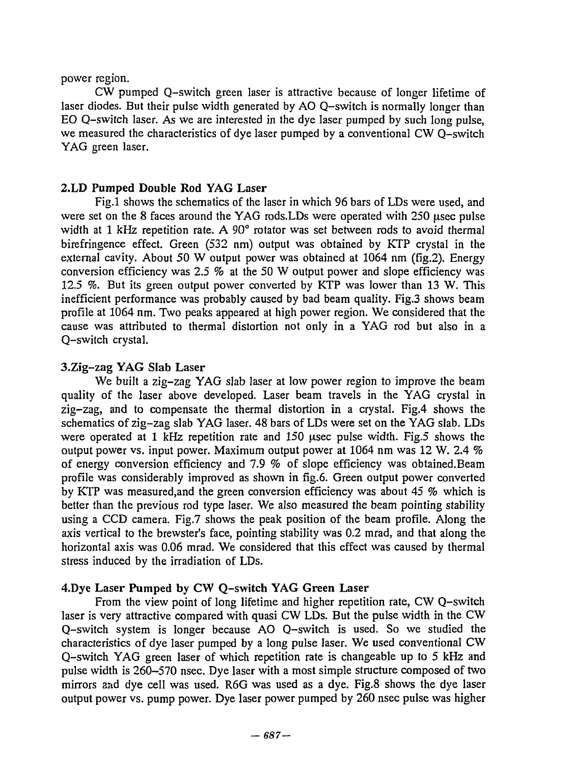power region.

CW pumped Q-switch green laser is attractive because of longer lifetime of CW pumped Q-switch green laser is attractive because of longer lifetime of laser diodes. But their pulse width generated by AO Q-switch is normally longer than laser diodes. But their pulse width generated by AO Q-switch is normally longer than EO Q-switch laser. As we are interested in the dye laser pumped by such long pulse, EO Q-switch laser. As we are interested in the dye laser pumped by such long pu]se, we measured the characteristics of dye laser pumped by a conventional CW Q-switch we measured the characteristics of dye laser pumped by a conventional CW Q-switch YAG green laser. YAG green Iaser.

#### 2.LD Pumped Double Rod YAG Laser 2.LD Pumped Double Rod YAG Laser

Fig.l shows the schematics of the laser in which 96 bars of LDs were used, and Fig.1 shows the schematics of the laser in which 96 bars of LDs were used, and were set on the 8 faces around the YAG rods.LDs were operated with 250 usec pulse width at 1 kHz repetition rate. A  $90^\circ$  rotator was set between rods to avoid thermal birefringence effect. Green (532 nm) output was obtained by KTP crystal in the birefringence effect. Green (532 nm) output was obtained by KTP crystal in the external cavity. About 50 W output power was obtained at 1064 nm (fig.2). Energy conversion efficiency was 2.5 % at the 50 W output power and slope efficiency was conversion efficiency was 2.5 % at the 50 W output power and slope efficiency was 12.5 %. But its green output power converted by KTP was lower than 13 W. This inefficient performance was probably caused by bad beam quality. Fig.3 shows beam inefficient performance was probably caused by bad beam quaIity. Fig.3 shows beam profile at 1064 nm. Two peaks appeared at high power region. We considered that the profile at 1064 nm. Two peaks appeared at high power region. We considered that the cause was attributed to thermal distortion not only in a YAG rod but also in a cause was attributed to thermal distortion not only in a YAG rod but a1so in a Q-switch crystal. Q-switch crystal.

#### 3.Zig-zag YAG Slab Laser 3.Zig-zag YAG Slab Laser

We built a zig-zag YAG slab laser at low power region to improve the beam quality of the laser above developed. Laser beam travels in the YAG crystal in quality of the laser above developed. Laser beam travels in the YAG crystal in zig-zag, and to compensate the thermal distortion in a crystal. Fig.4 shows the zig-zag, and to compensate the thermal distortion in a crystaI. Fig.4 shows the schematics of zig-zag slab YAG laser. 48 bars of LDs were set on the YAG slab. LDs schematics of zig-zag slab YAG laser. 48 bars of LDs were set on the YAG slab. LDs were operated at 1 kHz repetition rate and 150 usec pulse width. Fig.5 shows the output power vs. input power. Maximum output power at 1064 nm was 12 W. 2.4  $%$ of energy conversion efficiency and 7.9 % of slope efficiency was obtained.Beam profile was considerably improved as shown in fig. 6. Green output power converted profile was considerably improved as shown in fig.6. Green output power converted by KTP was measured, and the green conversion efficiency was about 45 % which is better than the previous rod type laser. We also measured the beam pointing stability better than the previous rod type laser. We a1so measured the beam pointing stabiIity using a CCD camera. Fig.7 shows the peak position of the beam profile. Along the axis vertical to the brewster's face, pointing stability was 0.2 mrad, and that along the horizontal axis was 0.06 mrad. We considered that this effect was caused by thermal stress induced by the irradiation of LDs. stress induced by the irradiation of LDs.

### 4.Dye Laser Pumped by CW Q-switch YAG Green Laser 4.Dye Laser Pumped by CW Q-switch YAG Green Laser

From the view point of long lifetime and higher repetition rate, CW Q-switch From the view point of long lifetime and higher repetition rate, CW Q-switch laser is very attractive compared with quasi CW LDs. But the pulse width in the CW Q-switch system is longer because AO Q-switch is used. So we studied the Q-switch system is longer because AO Q-switch is used. So we studied the characteristics of dye laser pumped by a long pulse laser. We used conventional CW characteristics of dye laser pumped by a 10ng pulse laser. We used conventional CW Q-switch YAG green laser of which repetition rate is changeable up to 5 kHz and Q-switch YAG green laser of which repetition rate is changeable up to 5 kHz and pulse width is 260–570 nsec. Dye laser with a most simple structure composed of two mirrors and dye cell was used. R6G was used as a dye. Fig.8 shows the dye laser output power vs. pump power. Dye laser power pumped by 260 nsec pulse was higher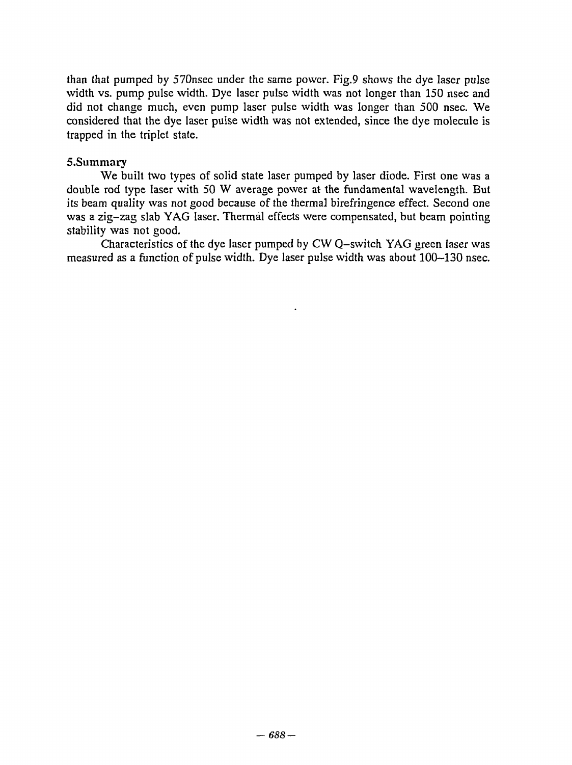than that pumped by 570nsec under the same power. Fig.9 shows the dye laser pulse than that pumped by 570nsec under the same powcr. Fig.9 shows the dye laser pulse width vs. pump pulse width. Dye laser pulse width was not longer than 150 nsec and width vs. pump puIse width. Dye Iaser pulse width was not longer than 150 nsec and did not change much, even pump laser pulse width was longer than 500 nsec. We did not change much, even pump laser puIse width was longer than 500 nsec. We considered that the dye laser pulse width was not extended, since the dye molecule is considered that the dye laser pulse width was not extended, since the dye molecule is trapped in the triplet state. 1rapped in the triplet s1ate.

#### 5.Summary

We built two types of solid state laser pumped by laser diode. First one was a 5.Summary We bui1t two types of soIid state laser pumped by laser diode. First one was a double rod type laser with 50 W average power at the fundamental wavelength. But double rod type laser with 50 W average power at the fundamental wavelength. But its beam quality was not good because of the thermal birefringence effect. Second one its beam quality was not good because of the thermal birefringence effect. Second one was a zig-zag slab YAG laser. Thermal effects were compensated, but beam pointing was a zig-zag slab YAG laser. Thermal effects were compensated, but beam pointing stability was not good. stability was not good.

Characteristics of the dye laser pumped by CW Q-svvitch YAG green laser was Characteristics of the dye Iaser pumped by CW Q-switch YAG green Iaser was measured as a function of pulse width. Dye laser pulse width was about 100-130 nsec.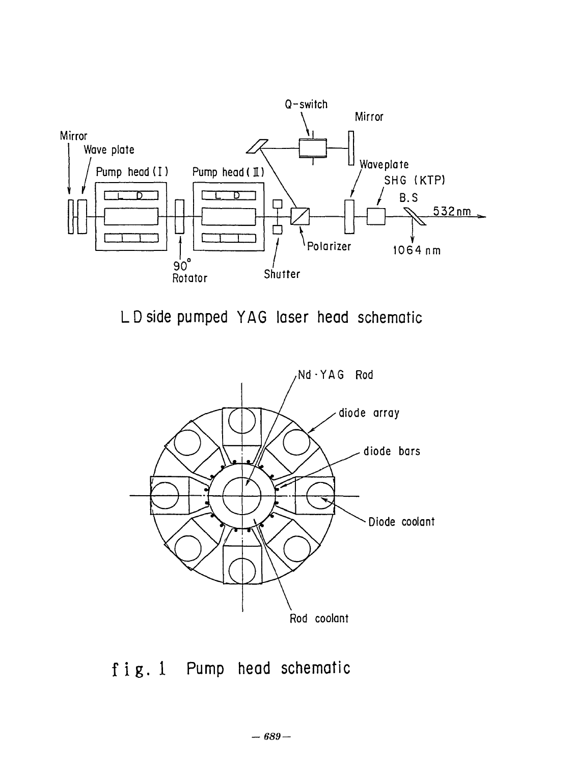

LD side pumped YAG laser head schematic L 0 side pumped Y AG laser head schematic



fig. 1 Pump head schematic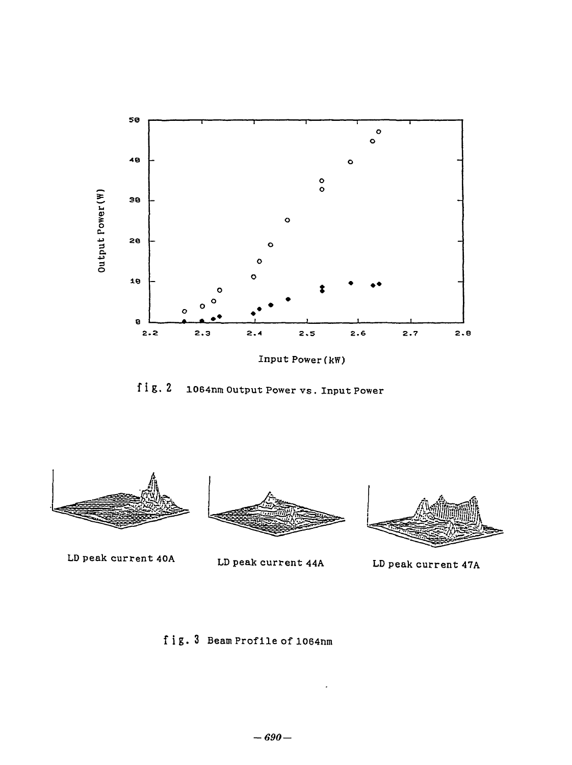

 $fig.2$ 1064nm Output Power vs. Input Power



LD peak current 44A



LD peak current 47A

LD peak current 40A

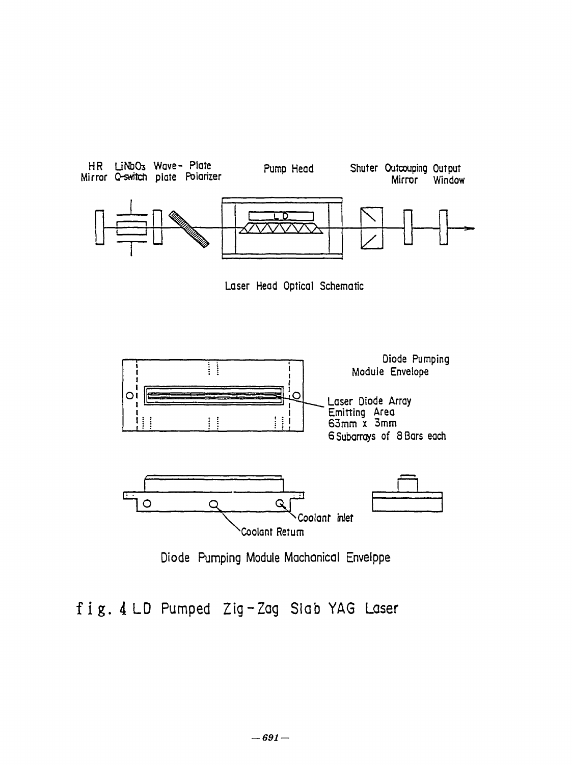





Diode Pumping Module Machanical Envelppe

# fig. 4 LD Pumped Zig-Zag Slab YAG Laser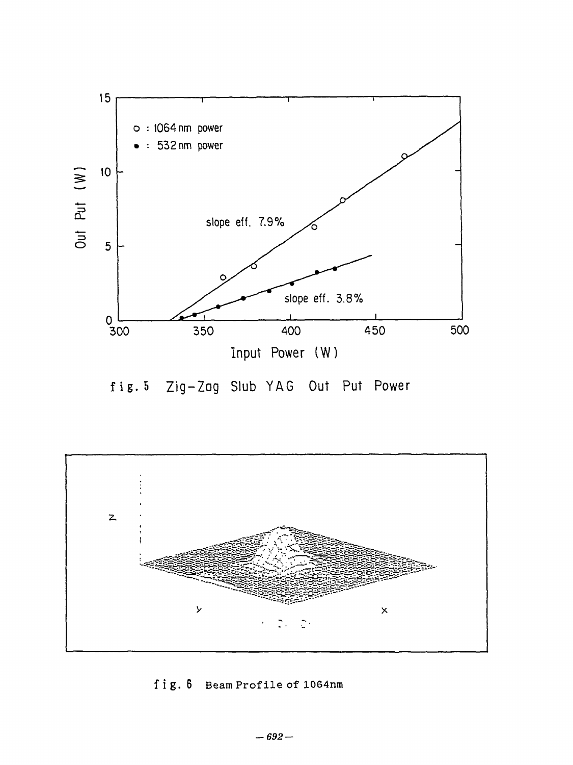



fig.6 Beam Profile of 1064nm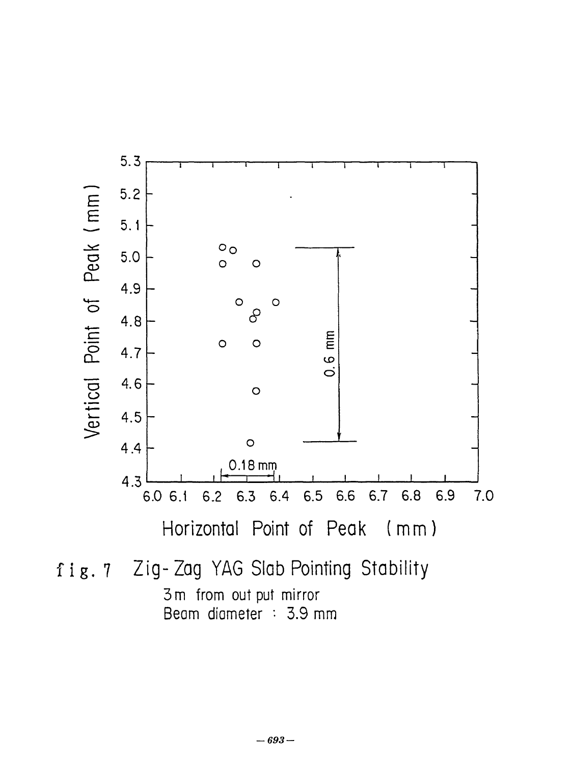